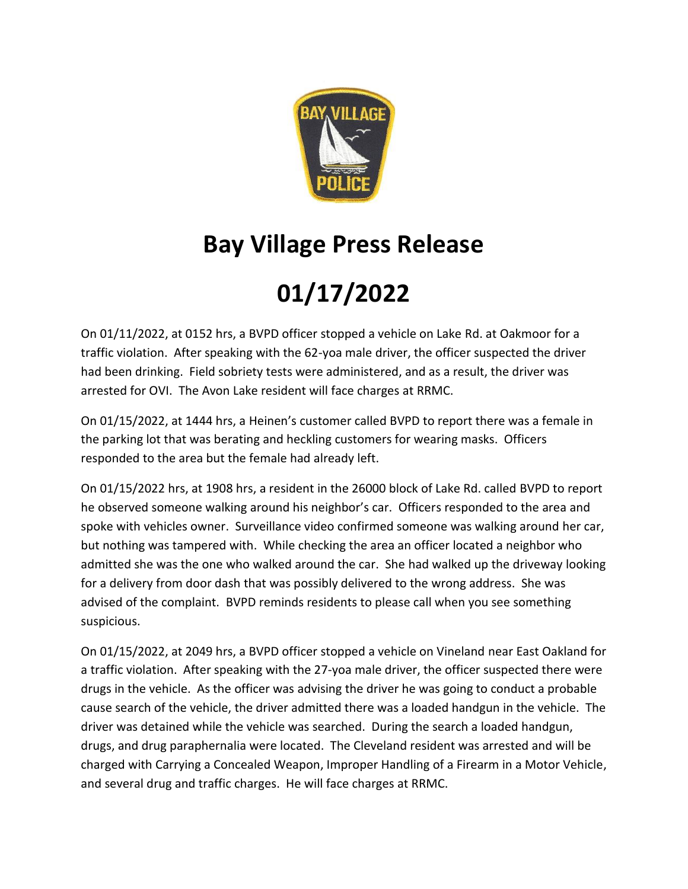

## **Bay Village Press Release**

## **01/17/2022**

On 01/11/2022, at 0152 hrs, a BVPD officer stopped a vehicle on Lake Rd. at Oakmoor for a traffic violation. After speaking with the 62-yoa male driver, the officer suspected the driver had been drinking. Field sobriety tests were administered, and as a result, the driver was arrested for OVI. The Avon Lake resident will face charges at RRMC.

On 01/15/2022, at 1444 hrs, a Heinen's customer called BVPD to report there was a female in the parking lot that was berating and heckling customers for wearing masks. Officers responded to the area but the female had already left.

On 01/15/2022 hrs, at 1908 hrs, a resident in the 26000 block of Lake Rd. called BVPD to report he observed someone walking around his neighbor's car. Officers responded to the area and spoke with vehicles owner. Surveillance video confirmed someone was walking around her car, but nothing was tampered with. While checking the area an officer located a neighbor who admitted she was the one who walked around the car. She had walked up the driveway looking for a delivery from door dash that was possibly delivered to the wrong address. She was advised of the complaint. BVPD reminds residents to please call when you see something suspicious.

On 01/15/2022, at 2049 hrs, a BVPD officer stopped a vehicle on Vineland near East Oakland for a traffic violation. After speaking with the 27-yoa male driver, the officer suspected there were drugs in the vehicle. As the officer was advising the driver he was going to conduct a probable cause search of the vehicle, the driver admitted there was a loaded handgun in the vehicle. The driver was detained while the vehicle was searched. During the search a loaded handgun, drugs, and drug paraphernalia were located. The Cleveland resident was arrested and will be charged with Carrying a Concealed Weapon, Improper Handling of a Firearm in a Motor Vehicle, and several drug and traffic charges. He will face charges at RRMC.